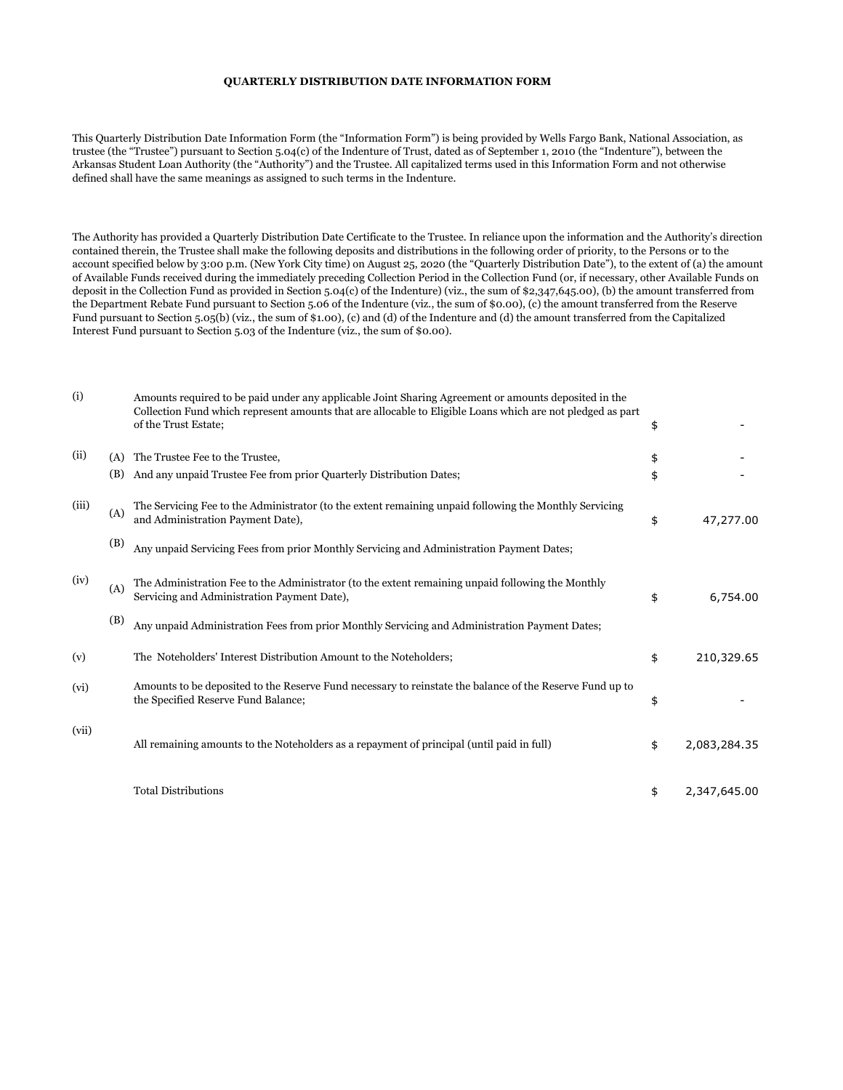## **QUARTERLY DISTRIBUTION DATE INFORMATION FORM**

This Quarterly Distribution Date Information Form (the "Information Form") is being provided by Wells Fargo Bank, National Association, as trustee (the "Trustee") pursuant to Section 5.04(c) of the Indenture of Trust, dated as of September 1, 2010 (the "Indenture"), between the Arkansas Student Loan Authority (the "Authority") and the Trustee. All capitalized terms used in this Information Form and not otherwise defined shall have the same meanings as assigned to such terms in the Indenture.

The Authority has provided a Quarterly Distribution Date Certificate to the Trustee. In reliance upon the information and the Authority's direction contained therein, the Trustee shall make the following deposits and distributions in the following order of priority, to the Persons or to the account specified below by 3:00 p.m. (New York City time) on August 25, 2020 (the "Quarterly Distribution Date"), to the extent of (a) the amount of Available Funds received during the immediately preceding Collection Period in the Collection Fund (or, if necessary, other Available Funds on deposit in the Collection Fund as provided in Section 5.04(c) of the Indenture) (viz., the sum of \$2,347,645.00), (b) the amount transferred from the Department Rebate Fund pursuant to Section 5.06 of the Indenture (viz., the sum of \$0.00), (c) the amount transferred from the Reserve Fund pursuant to Section 5.05(b) (viz., the sum of \$1.00), (c) and (d) of the Indenture and (d) the amount transferred from the Capitalized Interest Fund pursuant to Section 5.03 of the Indenture (viz., the sum of \$0.00).

| (i)   |     | Amounts required to be paid under any applicable Joint Sharing Agreement or amounts deposited in the<br>Collection Fund which represent amounts that are allocable to Eligible Loans which are not pledged as part<br>of the Trust Estate; | \$                 |
|-------|-----|--------------------------------------------------------------------------------------------------------------------------------------------------------------------------------------------------------------------------------------------|--------------------|
| (ii)  | (A) | The Trustee Fee to the Trustee,                                                                                                                                                                                                            | \$                 |
|       | (B) | And any unpaid Trustee Fee from prior Quarterly Distribution Dates;                                                                                                                                                                        | \$                 |
| (iii) | (A) | The Servicing Fee to the Administrator (to the extent remaining unpaid following the Monthly Servicing<br>and Administration Payment Date),                                                                                                | \$<br>47,277.00    |
|       | (B) | Any unpaid Servicing Fees from prior Monthly Servicing and Administration Payment Dates;                                                                                                                                                   |                    |
| (iv)  | (A) | The Administration Fee to the Administrator (to the extent remaining unpaid following the Monthly<br>Servicing and Administration Payment Date),                                                                                           | \$<br>6,754.00     |
|       | (B) | Any unpaid Administration Fees from prior Monthly Servicing and Administration Payment Dates;                                                                                                                                              |                    |
| (v)   |     | The Noteholders' Interest Distribution Amount to the Noteholders;                                                                                                                                                                          | \$<br>210,329.65   |
| (vi)  |     | Amounts to be deposited to the Reserve Fund necessary to reinstate the balance of the Reserve Fund up to<br>the Specified Reserve Fund Balance;                                                                                            | \$                 |
| (vii) |     | All remaining amounts to the Noteholders as a repayment of principal (until paid in full)                                                                                                                                                  | \$<br>2,083,284.35 |
|       |     | <b>Total Distributions</b>                                                                                                                                                                                                                 | \$<br>2,347,645.00 |